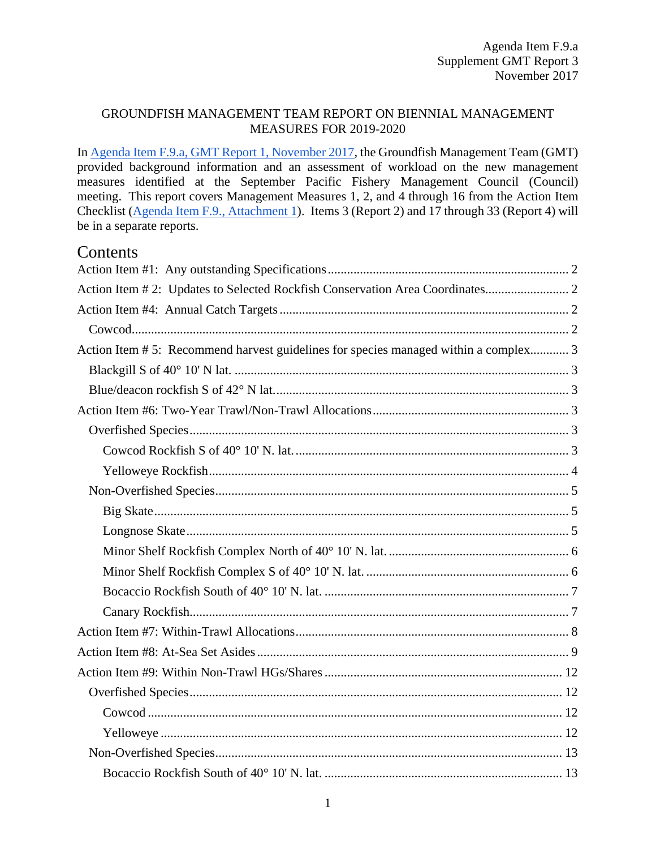#### GROUNDFISH MANAGEMENT TEAM REPORT ON BIENNIAL MANAGEMENT MEASURES FOR 2019-2020

I[n Agenda Item F.9.a, GMT Report 1, November 2017,](http://www.pcouncil.org/wp-content/uploads/2017/10/F6a_GMT_Rpt1_NOV2017BB.pdf) the Groundfish Management Team (GMT) provided background information and an assessment of workload on the new management measures identified at the September Pacific Fishery Management Council (Council) meeting. This report covers Management Measures 1, 2, and 4 through 16 from the Action Item Checklist [\(Agenda Item F.9., Attachment 1\)](http://www.pcouncil.org/wp-content/uploads/2017/10/F9_Att1_Checklist_NOV2017BB.pdf). Items 3 (Report 2) and 17 through 33 (Report 4) will be in a separate reports.

### Contents

| Action Item #5: Recommend harvest guidelines for species managed within a complex 3 |  |
|-------------------------------------------------------------------------------------|--|
|                                                                                     |  |
|                                                                                     |  |
|                                                                                     |  |
|                                                                                     |  |
|                                                                                     |  |
|                                                                                     |  |
|                                                                                     |  |
|                                                                                     |  |
|                                                                                     |  |
|                                                                                     |  |
|                                                                                     |  |
|                                                                                     |  |
|                                                                                     |  |
|                                                                                     |  |
|                                                                                     |  |
|                                                                                     |  |
|                                                                                     |  |
|                                                                                     |  |
|                                                                                     |  |
|                                                                                     |  |
|                                                                                     |  |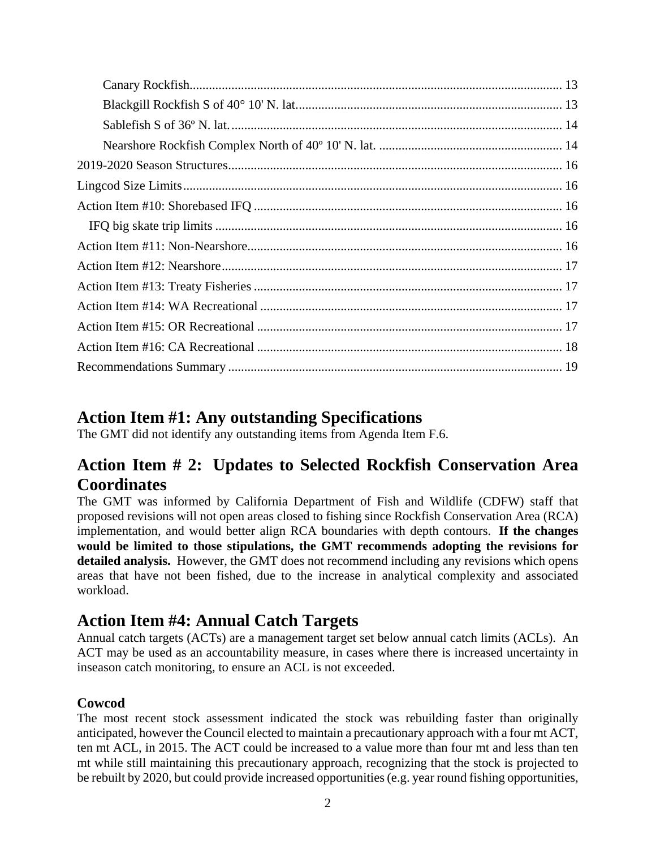## <span id="page-1-0"></span>**Action Item #1: Any outstanding Specifications**

The GMT did not identify any outstanding items from Agenda Item F.6.

## <span id="page-1-1"></span>**Action Item # 2: Updates to Selected Rockfish Conservation Area Coordinates**

The GMT was informed by California Department of Fish and Wildlife (CDFW) staff that proposed revisions will not open areas closed to fishing since Rockfish Conservation Area (RCA) implementation, and would better align RCA boundaries with depth contours. **If the changes would be limited to those stipulations, the GMT recommends adopting the revisions for detailed analysis.** However, the GMT does not recommend including any revisions which opens areas that have not been fished, due to the increase in analytical complexity and associated workload.

## <span id="page-1-2"></span>**Action Item #4: Annual Catch Targets**

Annual catch targets (ACTs) are a management target set below annual catch limits (ACLs). An ACT may be used as an accountability measure, in cases where there is increased uncertainty in inseason catch monitoring, to ensure an ACL is not exceeded.

### <span id="page-1-3"></span>**Cowcod**

The most recent stock assessment indicated the stock was rebuilding faster than originally anticipated, however the Council elected to maintain a precautionary approach with a four mt ACT, ten mt ACL, in 2015. The ACT could be increased to a value more than four mt and less than ten mt while still maintaining this precautionary approach, recognizing that the stock is projected to be rebuilt by 2020, but could provide increased opportunities (e.g. year round fishing opportunities,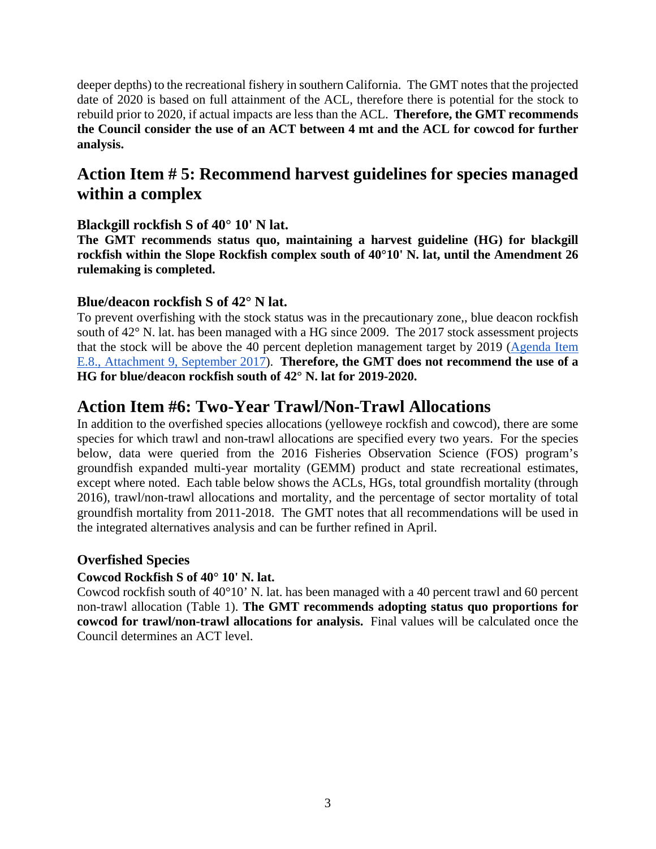deeper depths) to the recreational fishery in southern California. The GMT notes that the projected date of 2020 is based on full attainment of the ACL, therefore there is potential for the stock to rebuild prior to 2020, if actual impacts are less than the ACL. **Therefore, the GMT recommends the Council consider the use of an ACT between 4 mt and the ACL for cowcod for further analysis.**

## <span id="page-2-0"></span>**Action Item # 5: Recommend harvest guidelines for species managed within a complex**

### <span id="page-2-1"></span>**Blackgill rockfish S of 40° 10' N lat.**

**The GMT recommends status quo, maintaining a harvest guideline (HG) for blackgill rockfish within the Slope Rockfish complex south of 40°10' N. lat, until the Amendment 26 rulemaking is completed.** 

### <span id="page-2-2"></span>**Blue/deacon rockfish S of 42° N lat.**

To prevent overfishing with the stock status was in the precautionary zone,, blue deacon rockfish south of 42° N. lat. has been managed with a HG since 2009. The 2017 stock assessment projects that the stock will be above the 40 percent depletion management target by 2019 [\(Agenda Item](http://www.pcouncil.org/wp-content/uploads/2017/08/E8_Att9_BlueDeacon_FullDoc_E-Only_SEPT2017BB.pdf)  [E.8., Attachment 9, September 2017\)](http://www.pcouncil.org/wp-content/uploads/2017/08/E8_Att9_BlueDeacon_FullDoc_E-Only_SEPT2017BB.pdf). **Therefore, the GMT does not recommend the use of a HG for blue/deacon rockfish south of 42° N. lat for 2019-2020.**

### <span id="page-2-3"></span>**Action Item #6: Two-Year Trawl/Non-Trawl Allocations**

In addition to the overfished species allocations (yelloweye rockfish and cowcod), there are some species for which trawl and non-trawl allocations are specified every two years. For the species below, data were queried from the 2016 Fisheries Observation Science (FOS) program's groundfish expanded multi-year mortality (GEMM) product and state recreational estimates, except where noted. Each table below shows the ACLs, HGs, total groundfish mortality (through 2016), trawl/non-trawl allocations and mortality, and the percentage of sector mortality of total groundfish mortality from 2011-2018. The GMT notes that all recommendations will be used in the integrated alternatives analysis and can be further refined in April.

### <span id="page-2-4"></span>**Overfished Species**

### <span id="page-2-5"></span>**Cowcod Rockfish S of 40° 10' N. lat.**

Cowcod rockfish south of 40°10' N. lat. has been managed with a 40 percent trawl and 60 percent non-trawl allocation [\(Table 1\)](#page-3-1). **The GMT recommends adopting status quo proportions for cowcod for trawl/non-trawl allocations for analysis.** Final values will be calculated once the Council determines an ACT level.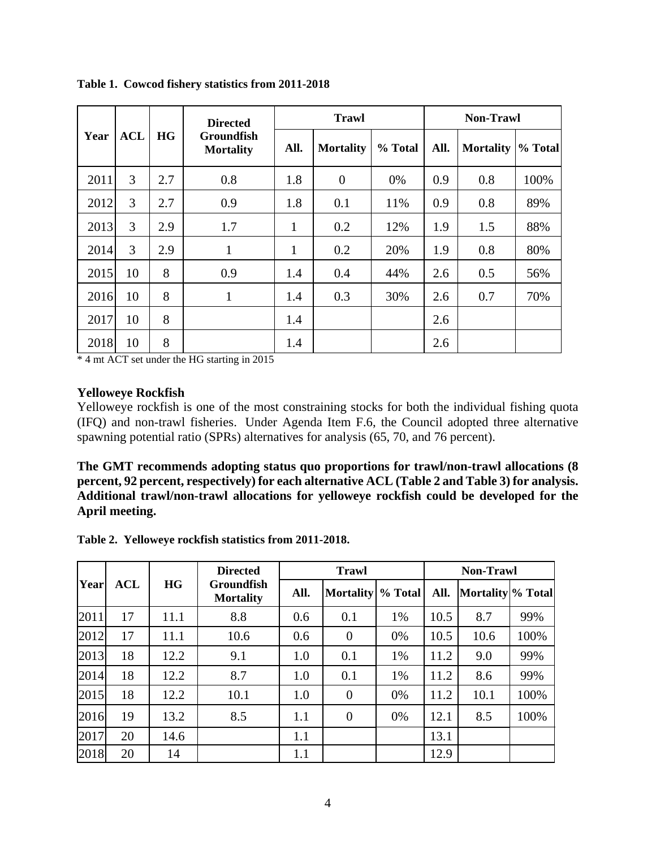|      |            |           | <b>Directed</b>                |              | <b>Trawl</b>     |         |      | <b>Non-Trawl</b> |         |  |
|------|------------|-----------|--------------------------------|--------------|------------------|---------|------|------------------|---------|--|
| Year | <b>ACL</b> | <b>HG</b> | Groundfish<br><b>Mortality</b> | All.         | <b>Mortality</b> | % Total | All. | <b>Mortality</b> | % Total |  |
| 2011 | 3          | 2.7       | 0.8                            | 1.8          | $\theta$         | 0%      | 0.9  | 0.8              | 100%    |  |
| 2012 | 3          | 2.7       | 0.9                            | 1.8          | 0.1              | 11%     | 0.9  | 0.8              | 89%     |  |
| 2013 | 3          | 2.9       | 1.7                            | 1            | 0.2              | 12%     | 1.9  | 1.5              | 88%     |  |
| 2014 | 3          | 2.9       | 1                              | $\mathbf{1}$ | 0.2              | 20%     | 1.9  | 0.8              | 80%     |  |
| 2015 | 10         | 8         | 0.9                            | 1.4          | 0.4              | 44%     | 2.6  | 0.5              | 56%     |  |
| 2016 | 10         | 8         | 1                              | 1.4          | 0.3              | 30%     | 2.6  | 0.7              | 70%     |  |
| 2017 | 10         | 8         |                                | 1.4          |                  |         | 2.6  |                  |         |  |
| 2018 | 10         | 8         |                                | 1.4          |                  |         | 2.6  |                  |         |  |

<span id="page-3-1"></span>**Table 1. Cowcod fishery statistics from 2011-2018**

<span id="page-3-3"></span>\* 4 mt ACT set under the HG starting in 2015

#### <span id="page-3-0"></span>**Yelloweye Rockfish**

Yelloweye rockfish is one of the most constraining stocks for both the individual fishing quota (IFQ) and non-trawl fisheries. Under Agenda Item F.6, the Council adopted three alternative spawning potential ratio (SPRs) alternatives for analysis (65, 70, and 76 percent).

**The GMT recommends adopting status quo proportions for trawl/non-trawl allocations (8 percent, 92 percent, respectively) for each alternative ACL [\(Table 2](#page-3-2) and [Table 3\)](#page-4-3) for analysis. Additional trawl/non-trawl allocations for yelloweye rockfish could be developed for the April meeting.** 

<span id="page-3-2"></span>**Table 2. Yelloweye rockfish statistics from 2011-2018.**

|             |            |      | <b>Directed</b>                       |      | <b>Trawl</b>     |         |      | <b>Non-Trawl</b>  |      |  |
|-------------|------------|------|---------------------------------------|------|------------------|---------|------|-------------------|------|--|
| <b>Year</b> | <b>ACL</b> | HG   | <b>Groundfish</b><br><b>Mortality</b> | All. | <b>Mortality</b> | % Total | All. | Mortality % Total |      |  |
| 2011        | 17         | 11.1 | 8.8                                   | 0.6  | 0.1              | 1%      | 10.5 | 8.7               | 99%  |  |
| 2012        | 17         | 11.1 | 10.6                                  | 0.6  | $\overline{0}$   | 0%      | 10.5 | 10.6              | 100% |  |
| 2013        | 18         | 12.2 | 9.1                                   | 1.0  | 0.1              | 1%      | 11.2 | 9.0               | 99%  |  |
| 2014        | 18         | 12.2 | 8.7                                   | 1.0  | 0.1              | 1%      | 11.2 | 8.6               | 99%  |  |
| 2015        | 18         | 12.2 | 10.1                                  | 1.0  | $\overline{0}$   | 0%      | 11.2 | 10.1              | 100% |  |
| 2016        | 19         | 13.2 | 8.5                                   | 1.1  | $\overline{0}$   | 0%      | 12.1 | 8.5               | 100% |  |
| 2017        | 20         | 14.6 |                                       | 1.1  |                  |         | 13.1 |                   |      |  |
| 2018        | 20         | 14   |                                       | 1.1  |                  |         | 12.9 |                   |      |  |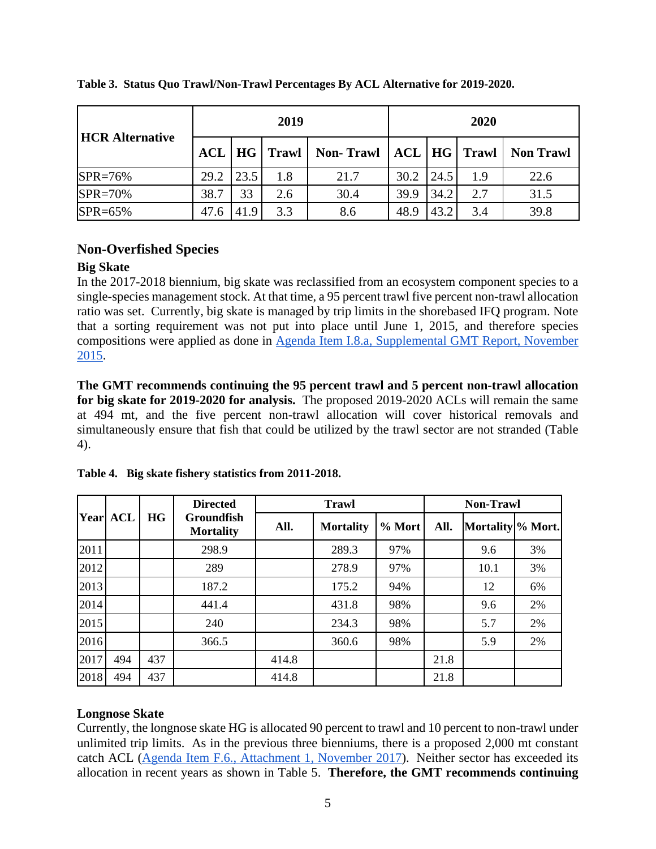| <b>HCR Alternative</b> |            | 2019 |       | 2020             |      |      |                  |                  |
|------------------------|------------|------|-------|------------------|------|------|------------------|------------------|
|                        | <b>ACL</b> | HG   | Trawl | <b>Non-Trawl</b> |      |      | ACL   HG   Trawl | <b>Non Trawl</b> |
| $SPR = 76%$            | 29.2       | 23.5 | 1.8   | 21.7             | 30.2 | 24.5 | 1.9              | 22.6             |
| $SPR = 70%$            | 38.7       | 33   | 2.6   | 30.4             | 39.9 | 34.2 | 2.7              | 31.5             |
| SPR=65%                | 47.6       | 41.9 | 3.3   | 8.6              | 48.9 | 43.2 | 3.4              | 39.8             |

<span id="page-4-5"></span><span id="page-4-3"></span>**Table 3. Status Quo Trawl/Non-Trawl Percentages By ACL Alternative for 2019-2020.**

### <span id="page-4-0"></span>**Non-Overfished Species**

#### <span id="page-4-1"></span>**Big Skate**

In the 2017-2018 biennium, big skate was reclassified from an ecosystem component species to a single-species management stock. At that time, a 95 percent trawl five percent non-trawl allocation ratio was set. Currently, big skate is managed by trip limits in the shorebased IFQ program. Note that a sorting requirement was not put into place until June 1, 2015, and therefore species compositions were applied as done in [Agenda Item I.8.a, Supplemental GMT Report, November](http://www.pcouncil.org/wp-content/uploads/2015/11/I8a_Sup_GMT_Rpt_Nov2015BB.pdf)  [2015.](http://www.pcouncil.org/wp-content/uploads/2015/11/I8a_Sup_GMT_Rpt_Nov2015BB.pdf)

**The GMT recommends continuing the 95 percent trawl and 5 percent non-trawl allocation for big skate for 2019-2020 for analysis.** The proposed 2019-2020 ACLs will remain the same at 494 mt, and the five percent non-trawl allocation will cover historical removals and simultaneously ensure that fish that could be utilized by the trawl sector are not stranded [\(Table](#page-4-4)  [4\)](#page-4-4).

|      |            |           | <b>Directed</b><br><b>Groundfish</b><br><b>Mortality</b> |       | <b>Trawl</b>     | <b>Non-Trawl</b> |      |                              |    |
|------|------------|-----------|----------------------------------------------------------|-------|------------------|------------------|------|------------------------------|----|
| Year | <b>ACL</b> | <b>HG</b> |                                                          | All.  | <b>Mortality</b> | % Mort           | All. | Mortality <sup>%</sup> Mort. |    |
| 2011 |            |           | 298.9                                                    |       | 289.3            | 97%              |      | 9.6                          | 3% |
| 2012 |            |           | 289                                                      |       | 278.9            | 97%              |      | 10.1                         | 3% |
| 2013 |            |           | 187.2                                                    |       | 175.2            | 94%              |      | 12                           | 6% |
| 2014 |            |           | 441.4                                                    |       | 431.8            | 98%              |      | 9.6                          | 2% |
| 2015 |            |           | 240                                                      |       | 234.3            | 98%              |      | 5.7                          | 2% |
| 2016 |            |           | 366.5                                                    |       | 360.6            | 98%              |      | 5.9                          | 2% |
| 2017 | 494        | 437       |                                                          | 414.8 |                  |                  | 21.8 |                              |    |
| 2018 | 494        | 437       |                                                          | 414.8 |                  |                  | 21.8 |                              |    |

<span id="page-4-4"></span>**Table 4. Big skate fishery statistics from 2011-2018.**

### <span id="page-4-2"></span>**Longnose Skate**

Currently, the longnose skate HG is allocated 90 percent to trawl and 10 percent to non-trawl under unlimited trip limits. As in the previous three bienniums, there is a proposed 2,000 mt constant catch ACL [\(Agenda Item F.6., Attachment 1, November 2017\)](http://www.pcouncil.org/wp-content/uploads/2017/10/F6_Att1_2019-20HarvestSpex_NOV2017BB.pdf). Neither sector has exceeded its allocation in recent years as shown in [Table 5.](#page-5-2) **Therefore, the GMT recommends continuing**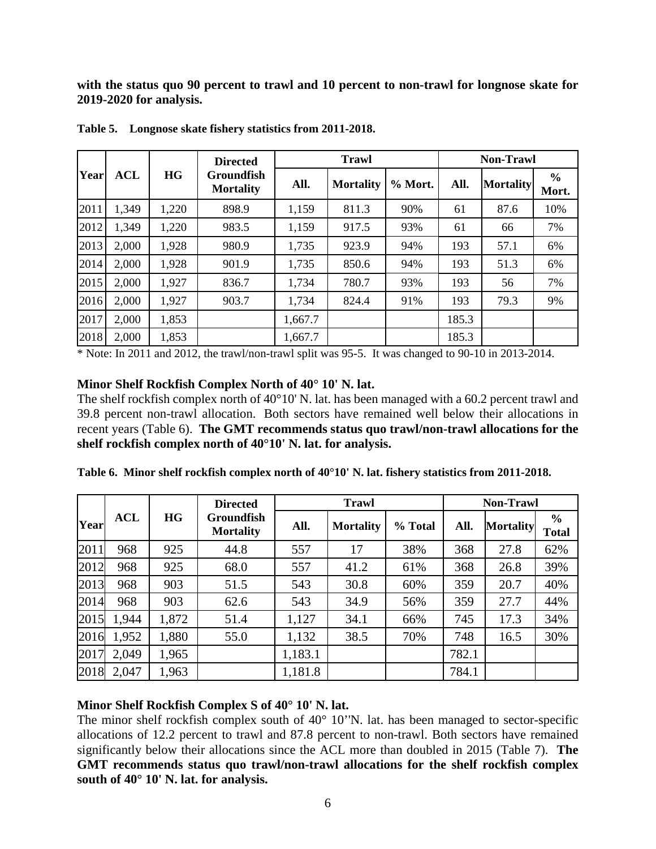**with the status quo 90 percent to trawl and 10 percent to non-trawl for longnose skate for 2019-2020 for analysis.**

|      |       |           | <b>Directed</b>                |         | <b>Trawl</b>     |         |       | <b>Non-Trawl</b> |                        |
|------|-------|-----------|--------------------------------|---------|------------------|---------|-------|------------------|------------------------|
| Year | ACL   | <b>HG</b> | Groundfish<br><b>Mortality</b> | All.    | <b>Mortality</b> | % Mort. | All.  | <b>Mortality</b> | $\frac{6}{6}$<br>Mort. |
| 2011 | 1,349 | 1,220     | 898.9                          | 1,159   | 811.3            | 90%     | 61    | 87.6             | 10%                    |
| 2012 | 1,349 | 1,220     | 983.5                          | 1,159   | 917.5            | 93%     | 61    | 66               | 7%                     |
| 2013 | 2,000 | 1,928     | 980.9                          | 1,735   | 923.9            | 94%     | 193   | 57.1             | 6%                     |
| 2014 | 2,000 | 1,928     | 901.9                          | 1,735   | 850.6            | 94%     | 193   | 51.3             | 6%                     |
| 2015 | 2,000 | 1,927     | 836.7                          | 1,734   | 780.7            | 93%     | 193   | 56               | 7%                     |
| 2016 | 2,000 | 1,927     | 903.7                          | 1,734   | 824.4            | 91%     | 193   | 79.3             | 9%                     |
| 2017 | 2,000 | 1,853     |                                | 1,667.7 |                  |         | 185.3 |                  |                        |
| 2018 | 2,000 | 1,853     |                                | 1,667.7 |                  |         | 185.3 |                  |                        |

<span id="page-5-2"></span>**Table 5. Longnose skate fishery statistics from 2011-2018.**

\* Note: In 2011 and 2012, the trawl/non-trawl split was 95-5. It was changed to 90-10 in 2013-2014.

#### <span id="page-5-0"></span>**Minor Shelf Rockfish Complex North of 40° 10' N. lat.**

The shelf rockfish complex north of 40°10' N. lat. has been managed with a 60.2 percent trawl and 39.8 percent non-trawl allocation. Both sectors have remained well below their allocations in recent years [\(Table 6\)](#page-5-3). **The GMT recommends status quo trawl/non-trawl allocations for the shelf rockfish complex north of 40°10' N. lat. for analysis.** 

|       |            |           | <b>Directed</b>                       |         | <b>Trawl</b>     | <b>Non-Trawl</b> |       |                  |                               |
|-------|------------|-----------|---------------------------------------|---------|------------------|------------------|-------|------------------|-------------------------------|
| Yearl | <b>ACL</b> | <b>HG</b> | <b>Groundfish</b><br><b>Mortality</b> | All.    | <b>Mortality</b> | % Total          | All.  | <b>Mortality</b> | $\frac{6}{6}$<br><b>Total</b> |
| 2011  | 968        | 925       | 44.8                                  | 557     | 17               | 38%              | 368   | 27.8             | 62%                           |
| 2012  | 968        | 925       | 68.0                                  | 557     | 41.2             | 61%              | 368   | 26.8             | 39%                           |
| 2013  | 968        | 903       | 51.5                                  | 543     | 30.8             | 60%              | 359   | 20.7             | 40%                           |
| 2014  | 968        | 903       | 62.6                                  | 543     | 34.9             | 56%              | 359   | 27.7             | 44%                           |
| 2015  | 1,944      | 1,872     | 51.4                                  | 1,127   | 34.1             | 66%              | 745   | 17.3             | 34%                           |
| 2016  | 1,952      | 1,880     | 55.0                                  | 1,132   | 38.5             | 70%              | 748   | 16.5             | 30%                           |
| 2017  | 2,049      | 1,965     |                                       | 1,183.1 |                  |                  | 782.1 |                  |                               |
| 2018  | 2,047      | 1,963     |                                       | 1,181.8 |                  |                  | 784.1 |                  |                               |

<span id="page-5-3"></span>**Table 6. Minor shelf rockfish complex north of 40°10' N. lat. fishery statistics from 2011-2018.**

#### <span id="page-5-1"></span>**Minor Shelf Rockfish Complex S of 40° 10' N. lat.**

The minor shelf rockfish complex south of  $40^{\circ}$  10'N. lat. has been managed to sector-specific allocations of 12.2 percent to trawl and 87.8 percent to non-trawl. Both sectors have remained significantly below their allocations since the ACL more than doubled in 2015 [\(Table 7\)](#page-6-2). **The GMT recommends status quo trawl/non-trawl allocations for the shelf rockfish complex south of 40° 10' N. lat. for analysis.**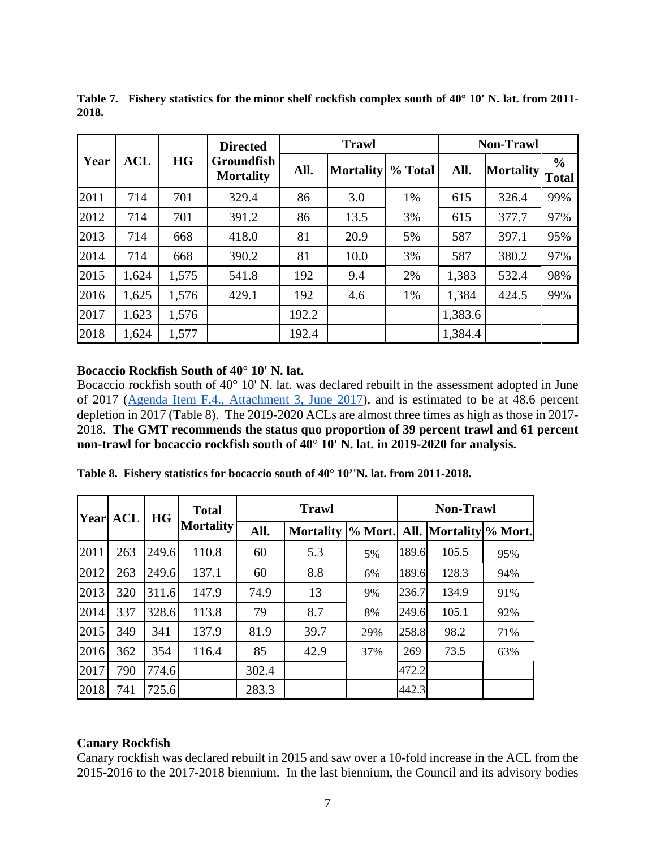|      |            |           | <b>Directed</b>                       |       | <b>Trawl</b>     |         |         | <b>Non-Trawl</b> |                               |
|------|------------|-----------|---------------------------------------|-------|------------------|---------|---------|------------------|-------------------------------|
| Year | <b>ACL</b> | <b>HG</b> | <b>Groundfish</b><br><b>Mortality</b> | All.  | <b>Mortality</b> | % Total | All.    | <b>Mortality</b> | $\frac{6}{6}$<br><b>Total</b> |
| 2011 | 714        | 701       | 329.4                                 | 86    | 3.0              | 1%      | 615     | 326.4            | 99%                           |
| 2012 | 714        | 701       | 391.2                                 | 86    | 13.5             | 3%      | 615     | 377.7            | 97%                           |
| 2013 | 714        | 668       | 418.0                                 | 81    | 20.9             | 5%      | 587     | 397.1            | 95%                           |
| 2014 | 714        | 668       | 390.2                                 | 81    | 10.0             | 3%      | 587     | 380.2            | 97%                           |
| 2015 | 1,624      | 1,575     | 541.8                                 | 192   | 9.4              | 2%      | 1,383   | 532.4            | 98%                           |
| 2016 | 1,625      | 1,576     | 429.1                                 | 192   | 4.6              | 1%      | 1,384   | 424.5            | 99%                           |
| 2017 | 1,623      | 1,576     |                                       | 192.2 |                  |         | 1,383.6 |                  |                               |
| 2018 | 1,624      | 1,577     |                                       | 192.4 |                  |         | 1,384.4 |                  |                               |

<span id="page-6-2"></span>**Table 7. Fishery statistics for the minor shelf rockfish complex south of 40° 10' N. lat. from 2011- 2018.**

#### <span id="page-6-0"></span>**Bocaccio Rockfish South of 40° 10' N. lat.**

Bocaccio rockfish south of 40° 10' N. lat. was declared rebuilt in the assessment adopted in June of 2017 [\(Agenda Item F.4., Attachment 3, June 2017\)](http://www.pcouncil.org/wp-content/uploads/2017/05/F4_Att3__2017_Bocaccio_Assessment_DraftFull_Version_Electronic_Only_Jun2017BB.pdf), and is estimated to be at 48.6 percent depletion in 2017 [\(Table 8\)](#page-6-3). The 2019-2020 ACLs are almost three times as high as those in 2017- 2018. **The GMT recommends the status quo proportion of 39 percent trawl and 61 percent non-trawl for bocaccio rockfish south of 40**° **10' N. lat. in 2019-2020 for analysis.** 

<span id="page-6-3"></span>

|  |  |  | Table 8. Fishery statistics for bocaccio south of 40° 10''N. lat. from 2011-2018. |  |
|--|--|--|-----------------------------------------------------------------------------------|--|
|  |  |  |                                                                                   |  |

| Year | <b>ACL</b> | <b>HG</b> | <b>Total</b>     | <b>Trawl</b> |                                                |     |       | <b>Non-Trawl</b> |     |  |  |
|------|------------|-----------|------------------|--------------|------------------------------------------------|-----|-------|------------------|-----|--|--|
|      |            |           | <b>Mortality</b> | All.         | Mortality  % Mort.  All.   Mortality   % Mort. |     |       |                  |     |  |  |
| 2011 | 263        | 249.6     | 110.8            | 60           | 5.3                                            | 5%  | 189.6 | 105.5            | 95% |  |  |
| 2012 | 263        | 249.6     | 137.1            | 60           | 8.8                                            | 6%  | 189.6 | 128.3            | 94% |  |  |
| 2013 | 320        | 311.6     | 147.9            | 74.9         | 13                                             | 9%  | 236.7 | 134.9            | 91% |  |  |
| 2014 | 337        | 328.6     | 113.8            | 79           | 8.7                                            | 8%  | 249.6 | 105.1            | 92% |  |  |
| 2015 | 349        | 341       | 137.9            | 81.9         | 39.7                                           | 29% | 258.8 | 98.2             | 71% |  |  |
| 2016 | 362        | 354       | 116.4            | 85           | 42.9                                           | 37% | 269   | 73.5             | 63% |  |  |
| 2017 | 790        | 774.6     |                  | 302.4        |                                                |     | 472.2 |                  |     |  |  |
| 2018 | 741        | 725.6     |                  | 283.3        |                                                |     | 442.3 |                  |     |  |  |

#### <span id="page-6-1"></span>**Canary Rockfish**

Canary rockfish was declared rebuilt in 2015 and saw over a 10-fold increase in the ACL from the 2015-2016 to the 2017-2018 biennium. In the last biennium, the Council and its advisory bodies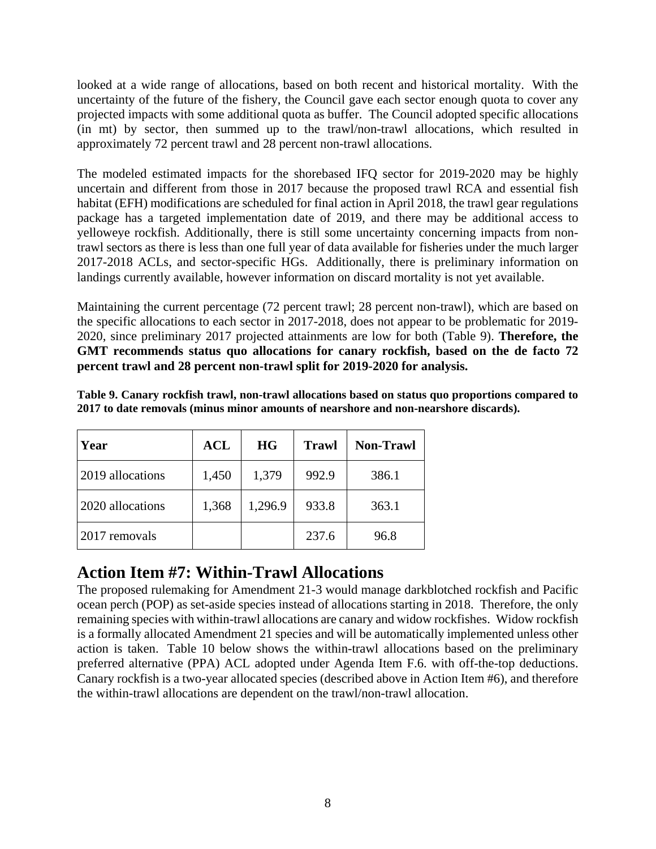looked at a wide range of allocations, based on both recent and historical mortality. With the uncertainty of the future of the fishery, the Council gave each sector enough quota to cover any projected impacts with some additional quota as buffer. The Council adopted specific allocations (in mt) by sector, then summed up to the trawl/non-trawl allocations, which resulted in approximately 72 percent trawl and 28 percent non-trawl allocations.

The modeled estimated impacts for the shorebased IFQ sector for 2019-2020 may be highly uncertain and different from those in 2017 because the proposed trawl RCA and essential fish habitat (EFH) modifications are scheduled for final action in April 2018, the trawl gear regulations package has a targeted implementation date of 2019, and there may be additional access to yelloweye rockfish. Additionally, there is still some uncertainty concerning impacts from nontrawl sectors as there is less than one full year of data available for fisheries under the much larger 2017-2018 ACLs, and sector-specific HGs. Additionally, there is preliminary information on landings currently available, however information on discard mortality is not yet available.

Maintaining the current percentage (72 percent trawl; 28 percent non-trawl), which are based on the specific allocations to each sector in 2017-2018, does not appear to be problematic for 2019- 2020, since preliminary 2017 projected attainments are low for both [\(Table 9\)](#page-7-1). **Therefore, the GMT recommends status quo allocations for canary rockfish, based on the de facto 72 percent trawl and 28 percent non-trawl split for 2019-2020 for analysis.** 

| Year             | <b>ACL</b> | <b>HG</b> | <b>Trawl</b> | <b>Non-Trawl</b> |
|------------------|------------|-----------|--------------|------------------|
| 2019 allocations | 1,450      | 1,379     | 992.9        | 386.1            |
| 2020 allocations | 1,368      | 1,296.9   | 933.8        | 363.1            |
| 2017 removals    |            |           | 237.6        | 96.8             |

<span id="page-7-1"></span>**Table 9. Canary rockfish trawl, non-trawl allocations based on status quo proportions compared to 2017 to date removals (minus minor amounts of nearshore and non-nearshore discards).**

## <span id="page-7-0"></span>**Action Item #7: Within-Trawl Allocations**

The proposed rulemaking for Amendment 21-3 would manage darkblotched rockfish and Pacific ocean perch (POP) as set-aside species instead of allocations starting in 2018. Therefore, the only remaining species with within-trawl allocations are canary and widow rockfishes. Widow rockfish is a formally allocated Amendment 21 species and will be automatically implemented unless other action is taken. [Table 10](#page-8-1) below shows the within-trawl allocations based on the preliminary preferred alternative (PPA) ACL adopted under Agenda Item F.6. with off-the-top deductions. Canary rockfish is a two-year allocated species (described above in Action Item #6), and therefore the within-trawl allocations are dependent on the trawl/non-trawl allocation.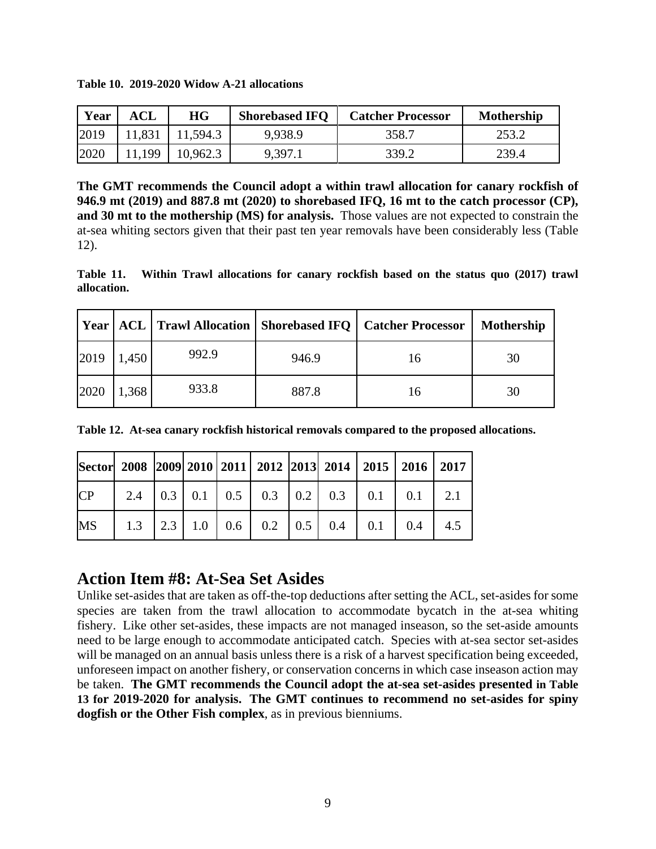| Year | ACL    | HG       | <b>Shorebased IFQ</b> | <b>Catcher Processor</b> | <b>Mothership</b> |
|------|--------|----------|-----------------------|--------------------------|-------------------|
| 2019 | 11,831 | 11,594.3 | 9,938.9               | 358.7                    | 253.2             |
| 2020 | .199   | 10,962.3 | 9,397.1               | 339.2                    | 239.4             |

**The GMT recommends the Council adopt a within trawl allocation for canary rockfish of 946.9 mt (2019) and 887.8 mt (2020) to shorebased IFQ, 16 mt to the catch processor (CP), and 30 mt to the mothership (MS) for analysis.** Those values are not expected to constrain the at-sea whiting sectors given that their past ten year removals have been considerably less [\(Table](#page-8-2)  [12\)](#page-8-2).

**Table 11. Within Trawl allocations for canary rockfish based on the status quo (2017) trawl allocation.**

|      |       |       |       | Year   ACL   Trawl Allocation   Shorebased IFQ   Catcher Processor | <b>Mothership</b> |
|------|-------|-------|-------|--------------------------------------------------------------------|-------------------|
| 2019 | 1,450 | 992.9 | 946.9 | 16                                                                 | 30                |
| 2020 | ,368  | 933.8 | 887.8 | 16                                                                 | 30                |

<span id="page-8-2"></span>**Table 12. At-sea canary rockfish historical removals compared to the proposed allocations.** 

|           |  |  |  |  | Sector 2008 2009 2010 2011 2012 2013 2014 2015 2016 2017  |
|-----------|--|--|--|--|-----------------------------------------------------------|
| CP        |  |  |  |  | 2.4   0.3   0.1   0.5   0.3   0.2   0.3   0.1   0.1   2.1 |
| <b>MS</b> |  |  |  |  | 1.3   2.3   1.0   0.6   0.2   0.5   0.4   0.1   0.4   4.5 |

## <span id="page-8-0"></span>**Action Item #8: At-Sea Set Asides**

<span id="page-8-1"></span>**Table 10. 2019-2020 Widow A-21 allocations**

Unlike set-asides that are taken as off-the-top deductions after setting the ACL, set-asides for some species are taken from the trawl allocation to accommodate bycatch in the at-sea whiting fishery. Like other set-asides, these impacts are not managed inseason, so the set-aside amounts need to be large enough to accommodate anticipated catch. Species with at-sea sector set-asides will be managed on an annual basis unless there is a risk of a harvest specification being exceeded, unforeseen impact on another fishery, or conservation concerns in which case inseason action may be taken. **The GMT recommends the Council adopt the at-sea set-asides presented in [Table](#page-9-0)  [13](#page-9-0) for 2019-2020 for analysis. The GMT continues to recommend no set-asides for spiny dogfish or the Other Fish complex**, as in previous bienniums.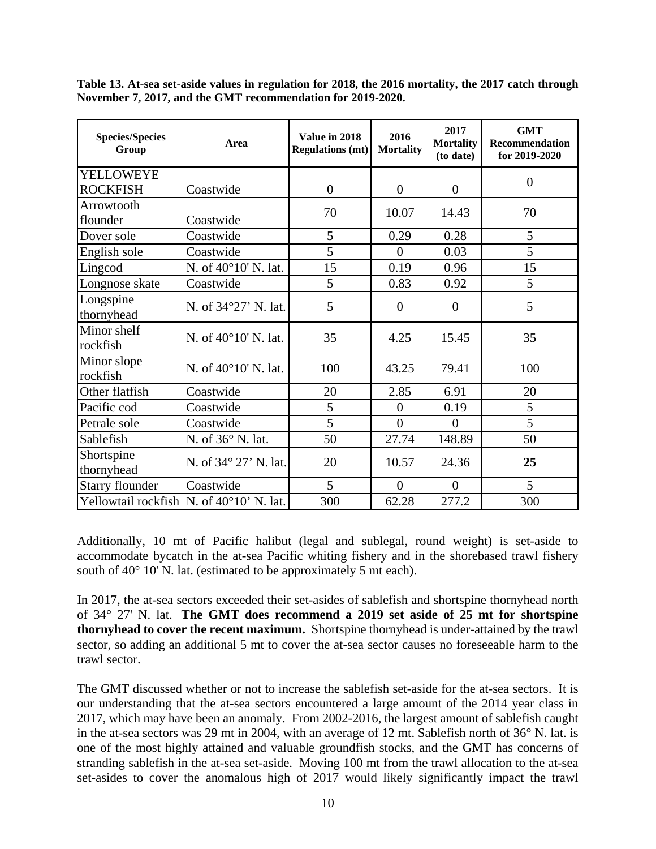<span id="page-9-1"></span><span id="page-9-0"></span>**Table 13. At-sea set-aside values in regulation for 2018, the 2016 mortality, the 2017 catch through November 7, 2017, and the GMT recommendation for 2019-2020.**

| <b>Species/Species</b><br>Group            | Area                  | Value in 2018<br><b>Regulations (mt)</b> | 2016<br><b>Mortality</b> | 2017<br><b>Mortality</b><br>(to date) | <b>GMT</b><br><b>Recommendation</b><br>for 2019-2020 |
|--------------------------------------------|-----------------------|------------------------------------------|--------------------------|---------------------------------------|------------------------------------------------------|
| YELLOWEYE                                  |                       |                                          |                          |                                       | $\overline{0}$                                       |
| <b>ROCKFISH</b>                            | Coastwide             | $\overline{0}$                           | $\overline{0}$           | $\overline{0}$                        |                                                      |
| Arrowtooth                                 |                       | 70                                       | 10.07                    | 14.43                                 | 70                                                   |
| flounder                                   | Coastwide             |                                          |                          |                                       |                                                      |
| Dover sole                                 | Coastwide             | 5                                        | 0.29                     | 0.28                                  | 5                                                    |
| English sole                               | Coastwide             | 5                                        | $\overline{0}$           | 0.03                                  | 5                                                    |
| Lingcod                                    | N. of 40°10' N. lat.  | 15                                       | 0.19                     | 0.96                                  | 15                                                   |
| Longnose skate                             | Coastwide             | 5                                        | 0.83                     | 0.92                                  | 5                                                    |
| Longspine<br>thornyhead                    | N. of 34°27' N. lat.  | 5                                        | $\boldsymbol{0}$         | $\boldsymbol{0}$                      | 5                                                    |
| Minor shelf<br>rockfish                    | N. of 40°10' N. lat.  | 35                                       | 4.25                     | 15.45                                 | 35                                                   |
| Minor slope<br>rockfish                    | N. of 40°10' N. lat.  | 100                                      | 43.25                    | 79.41                                 | 100                                                  |
| Other flatfish                             | Coastwide             | 20                                       | 2.85                     | 6.91                                  | 20                                                   |
| Pacific cod                                | Coastwide             | 5                                        | $\boldsymbol{0}$         | 0.19                                  | 5                                                    |
| Petrale sole                               | Coastwide             | 5                                        | $\overline{0}$           | $\overline{0}$                        | 5                                                    |
| Sablefish                                  | N. of 36° N. lat.     | 50                                       | 27.74                    | 148.89                                | 50                                                   |
| Shortspine<br>thornyhead                   | N. of 34° 27' N. lat. | 20                                       | 10.57                    | 24.36                                 | 25                                                   |
| <b>Starry flounder</b>                     | Coastwide             | 5                                        | $\boldsymbol{0}$         | $\boldsymbol{0}$                      | 5                                                    |
| Yellowtail rockfish   N. of 40°10' N. lat. |                       | 300                                      | 62.28                    | 277.2                                 | 300                                                  |

Additionally, 10 mt of Pacific halibut (legal and sublegal, round weight) is set-aside to accommodate bycatch in the at-sea Pacific whiting fishery and in the shorebased trawl fishery south of 40° 10' N. lat. (estimated to be approximately 5 mt each).

In 2017, the at-sea sectors exceeded their set-asides of sablefish and shortspine thornyhead north of 34° 27' N. lat. **The GMT does recommend a 2019 set aside of 25 mt for shortspine thornyhead to cover the recent maximum.** Shortspine thornyhead is under-attained by the trawl sector, so adding an additional 5 mt to cover the at-sea sector causes no foreseeable harm to the trawl sector.

The GMT discussed whether or not to increase the sablefish set-aside for the at-sea sectors. It is our understanding that the at-sea sectors encountered a large amount of the 2014 year class in 2017, which may have been an anomaly. From 2002-2016, the largest amount of sablefish caught in the at-sea sectors was 29 mt in 2004, with an average of 12 mt. Sablefish north of 36° N. lat. is one of the most highly attained and valuable groundfish stocks, and the GMT has concerns of stranding sablefish in the at-sea set-aside. Moving 100 mt from the trawl allocation to the at-sea set-asides to cover the anomalous high of 2017 would likely significantly impact the trawl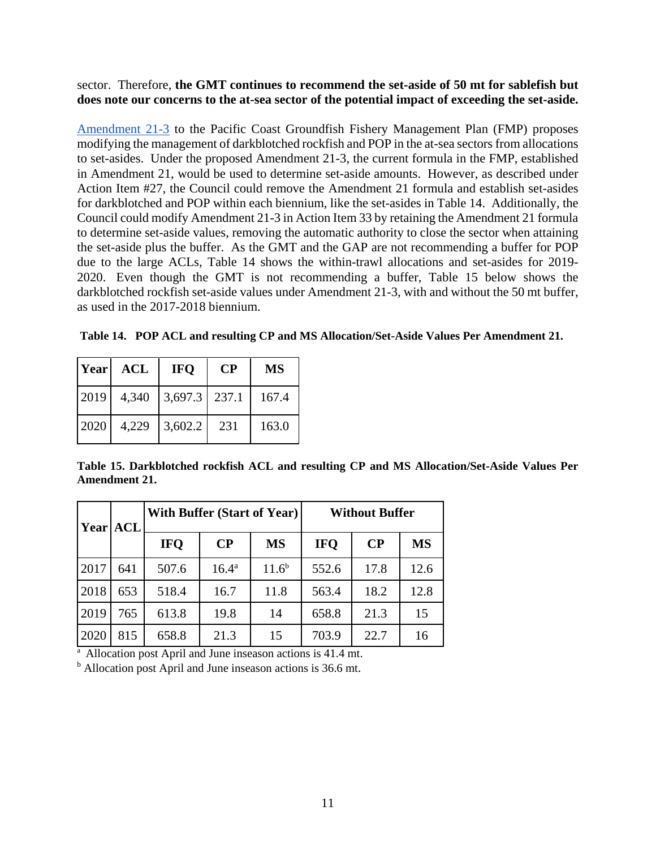sector. Therefore, **the GMT continues to recommend the set-aside of 50 mt for sablefish but does note our concerns to the at-sea sector of the potential impact of exceeding the set-aside.**

[Amendment 21-3](https://www.pcouncil.org/groundfish/fishery-management-plan/groundfish-amendments-in-development/#a21-3) to the Pacific Coast Groundfish Fishery Management Plan (FMP) proposes modifying the management of darkblotched rockfish and POP in the at-sea sectors from allocations to set-asides. Under the proposed Amendment 21-3, the current formula in the FMP, established in Amendment 21, would be used to determine set-aside amounts. However, as described under Action Item #27, the Council could remove the Amendment 21 formula and establish set-asides for darkblotched and POP within each biennium, like the set-asides in Table 14. Additionally, the Council could modify Amendment 21-3 in Action Item 33 by retaining the Amendment 21 formula to determine set-aside values, removing the automatic authority to close the sector when attaining the set-aside plus the buffer. As the GMT and the GAP are not recommending a buffer for POP due to the large ACLs, [Table 14](#page-10-0) shows the within-trawl allocations and set-asides for 2019- 2020. Even though the GMT is not recommending a buffer, [Table 15](#page-10-1) below shows the darkblotched rockfish set-aside values under Amendment 21-3, with and without the 50 mt buffer, as used in the 2017-2018 biennium.

<span id="page-10-0"></span>**Table 14. POP ACL and resulting CP and MS Allocation/Set-Aside Values Per Amendment 21.**

| <b>Year</b> | <b>ACL</b> | <b>IFO</b>      | $\bf CP$ | <b>MS</b> |  |
|-------------|------------|-----------------|----------|-----------|--|
| 2019        | 4,340      | $3,697.3$ 237.1 |          | 167.4     |  |
| 2020        | 4,229      | 3,602.2         | 231      | 163.0     |  |

<span id="page-10-1"></span>**Table 15. Darkblotched rockfish ACL and resulting CP and MS Allocation/Set-Aside Values Per Amendment 21.**

| Year | <b>ACL</b> | <b>With Buffer (Start of Year)</b> |                |            | <b>Without Buffer</b> |          |           |
|------|------------|------------------------------------|----------------|------------|-----------------------|----------|-----------|
|      |            | <b>IFO</b>                         | $\bf CP$       | <b>MS</b>  | <b>IFO</b>            | $\bf CP$ | <b>MS</b> |
| 2017 | 641        | 507.6                              | $16.4^{\rm a}$ | $11.6^{b}$ | 552.6                 | 17.8     | 12.6      |
| 2018 | 653        | 518.4                              | 16.7           | 11.8       | 563.4                 | 18.2     | 12.8      |
| 2019 | 765        | 613.8                              | 19.8           | 14         | 658.8                 | 21.3     | 15        |
| 2020 | 815        | 658.8                              | 21.3           | 15         | 703.9                 | 22.7     | 16        |

 $\frac{a}{a}$  Allocation post April and June inseason actions is 41.4 mt.

<sup>b</sup> Allocation post April and June inseason actions is 36.6 mt.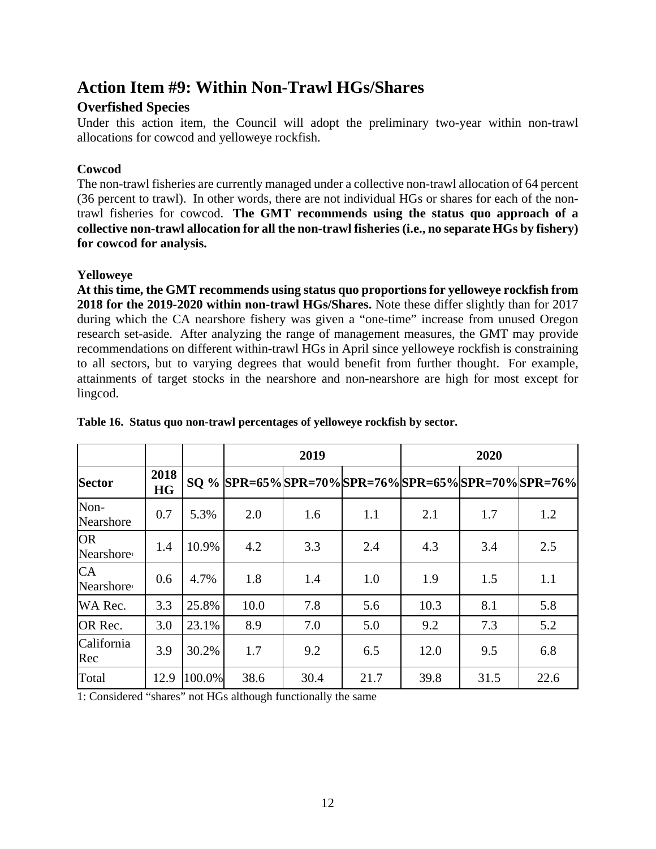## <span id="page-11-0"></span>**Action Item #9: Within Non-Trawl HGs/Shares**

### <span id="page-11-1"></span>**Overfished Species**

Under this action item, the Council will adopt the preliminary two-year within non-trawl allocations for cowcod and yelloweye rockfish.

### <span id="page-11-2"></span>**Cowcod**

The non-trawl fisheries are currently managed under a collective non-trawl allocation of 64 percent (36 percent to trawl). In other words, there are not individual HGs or shares for each of the nontrawl fisheries for cowcod. **The GMT recommends using the status quo approach of a collective non-trawl allocation for all the non-trawl fisheries (i.e., no separate HGs by fishery) for cowcod for analysis.** 

### <span id="page-11-3"></span>**Yelloweye**

**At this time, the GMT recommends using status quo proportions for yelloweye rockfish from 2018 for the 2019-2020 within non-trawl HGs/Shares.** Note these differ slightly than for 2017 during which the CA nearshore fishery was given a "one-time" increase from unused Oregon research set-aside. After analyzing the range of management measures, the GMT may provide recommendations on different within-trawl HGs in April since yelloweye rockfish is constraining to all sectors, but to varying degrees that would benefit from further thought. For example, attainments of target stocks in the nearshore and non-nearshore are high for most except for lingcod.

|                                     |                   |        |                                                      | 2019 |      |      | 2020 |      |
|-------------------------------------|-------------------|--------|------------------------------------------------------|------|------|------|------|------|
| <b>Sector</b>                       | 2018<br><b>HG</b> |        | SQ % SPR=65% SPR=70% SPR=76% SPR=65% SPR=70% SPR=76% |      |      |      |      |      |
| Non-<br>Nearshore                   | 0.7               | 5.3%   | 2.0                                                  | 1.6  | 1.1  | 2.1  | 1.7  | 1.2  |
| <b>OR</b><br>Nearshore <sup>1</sup> | 1.4               | 10.9%  | 4.2                                                  | 3.3  | 2.4  | 4.3  | 3.4  | 2.5  |
| <b>CA</b><br>Nearshore <sup>1</sup> | 0.6               | 4.7%   | 1.8                                                  | 1.4  | 1.0  | 1.9  | 1.5  | 1.1  |
| WA Rec.                             | 3.3               | 25.8%  | 10.0                                                 | 7.8  | 5.6  | 10.3 | 8.1  | 5.8  |
| OR Rec.                             | 3.0               | 23.1%  | 8.9                                                  | 7.0  | 5.0  | 9.2  | 7.3  | 5.2  |
| California<br>Rec                   | 3.9               | 30.2%  | 1.7                                                  | 9.2  | 6.5  | 12.0 | 9.5  | 6.8  |
| Total                               | 12.9              | 100.0% | 38.6                                                 | 30.4 | 21.7 | 39.8 | 31.5 | 22.6 |

### **Table 16. Status quo non-trawl percentages of yelloweye rockfish by sector.**

<span id="page-11-4"></span>1: Considered "shares" not HGs although functionally the same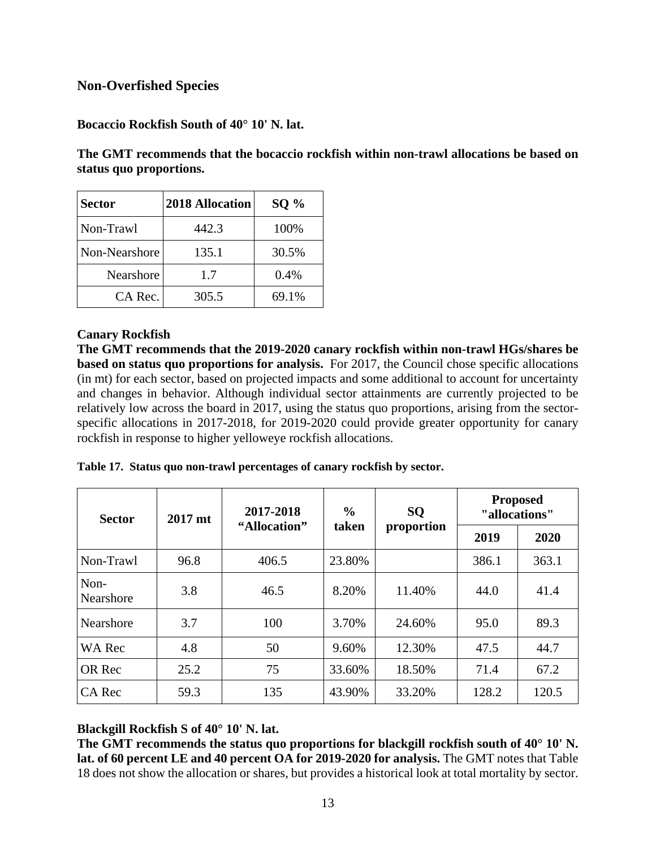### **Non-Overfished Species**

<span id="page-12-0"></span>**Bocaccio Rockfish South of 40° 10' N. lat.**

**The GMT recommends that the bocaccio rockfish within non-trawl allocations be based on status quo proportions.**

| <b>Sector</b> | 2018 Allocation | $SO\%$ |
|---------------|-----------------|--------|
| Non-Trawl     | 442.3           | 100%   |
| Non-Nearshore | 135.1           | 30.5%  |
| Nearshore     | 1.7             | 0.4%   |
| CA Rec.       | 305.5           | 69.1%  |

### <span id="page-12-1"></span>**Canary Rockfish**

**The GMT recommends that the 2019-2020 canary rockfish within non-trawl HGs/shares be based on status quo proportions for analysis.** For 2017, the Council chose specific allocations (in mt) for each sector, based on projected impacts and some additional to account for uncertainty and changes in behavior. Although individual sector attainments are currently projected to be relatively low across the board in 2017, using the status quo proportions, arising from the sectorspecific allocations in 2017-2018, for 2019-2020 could provide greater opportunity for canary rockfish in response to higher yelloweye rockfish allocations.

|  |  | Table 17. Status quo non-trawl percentages of canary rockfish by sector. |  |
|--|--|--------------------------------------------------------------------------|--|
|--|--|--------------------------------------------------------------------------|--|

| <b>Sector</b>     | 2017 mt | 2017-2018    | $\frac{6}{6}$ | <b>SQ</b>           | <b>Proposed</b><br>"allocations" |       |  |
|-------------------|---------|--------------|---------------|---------------------|----------------------------------|-------|--|
|                   |         | "Allocation" |               | taken<br>proportion |                                  | 2020  |  |
| Non-Trawl         | 96.8    | 406.5        | 23.80%        |                     | 386.1                            | 363.1 |  |
| Non-<br>Nearshore | 3.8     | 46.5         | 8.20%         | 11.40%              | 44.0                             | 41.4  |  |
| Nearshore         | 3.7     | 100          | 3.70%         | 24.60%              | 95.0                             | 89.3  |  |
| <b>WA Rec</b>     | 4.8     | 50           | 9.60%         | 12.30%              | 47.5                             | 44.7  |  |
| OR Rec            | 25.2    | 75           | 33.60%        | 18.50%              | 71.4                             | 67.2  |  |
| CA Rec            | 59.3    | 135          | 43.90%        | 33.20%              | 128.2                            | 120.5 |  |

<span id="page-12-2"></span>**Blackgill Rockfish S of 40° 10' N. lat.**

**The GMT recommends the status quo proportions for blackgill rockfish south of 40° 10' N. lat. of 60 percent LE and 40 percent OA for 2019-2020 for analysis.** The GMT notes tha[t Table](#page-13-2)  [18](#page-13-2) does not show the allocation or shares, but provides a historical look at total mortality by sector.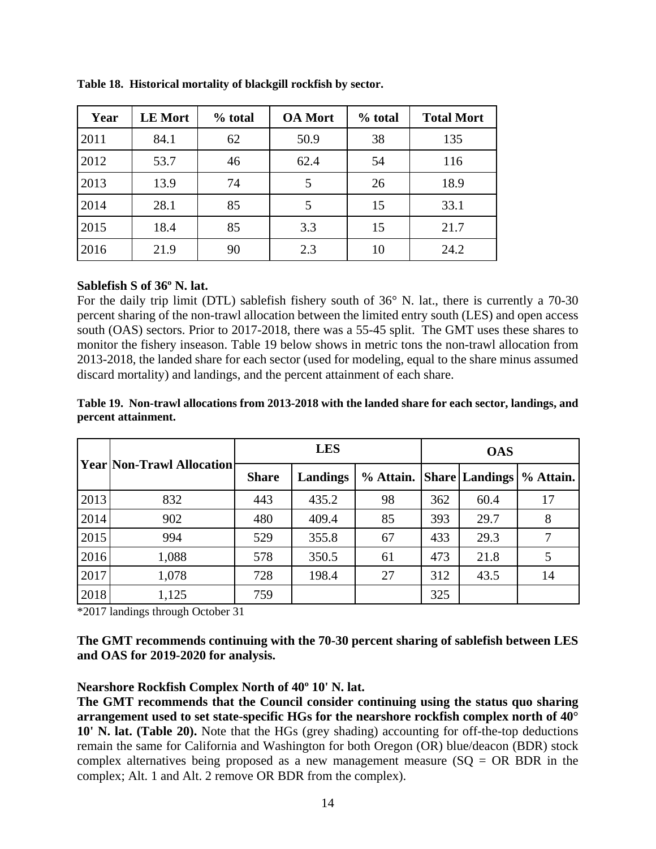| Year | <b>LE Mort</b> | % total | <b>OA</b> Mort | % total | <b>Total Mort</b> |
|------|----------------|---------|----------------|---------|-------------------|
| 2011 | 84.1           | 62      | 50.9           | 38      | 135               |
| 2012 | 53.7           | 46      | 62.4           | 54      | 116               |
| 2013 | 13.9           | 74      |                | 26      | 18.9              |
| 2014 | 28.1           | 85      |                | 15      | 33.1              |
| 2015 | 18.4           | 85      | 3.3            | 15      | 21.7              |
| 2016 | 21.9           | 90      | 2.3            | 10      | 24.2              |

<span id="page-13-2"></span>**Table 18. Historical mortality of blackgill rockfish by sector.**

#### <span id="page-13-0"></span>**Sablefish S of 36º N. lat.**

For the daily trip limit (DTL) sablefish fishery south of 36° N. lat., there is currently a 70-30 percent sharing of the non-trawl allocation between the limited entry south (LES) and open access south (OAS) sectors. Prior to 2017-2018, there was a 55-45 split. The GMT uses these shares to monitor the fishery inseason. [Table 19](#page-13-3) below shows in metric tons the non-trawl allocation from 2013-2018, the landed share for each sector (used for modeling, equal to the share minus assumed discard mortality) and landings, and the percent attainment of each share.

#### <span id="page-13-3"></span>**Table 19. Non-trawl allocations from 2013-2018 with the landed share for each sector, landings, and percent attainment.**

|      |                                  |              | <b>LES</b> |                          |     | <b>OAS</b> |           |  |
|------|----------------------------------|--------------|------------|--------------------------|-----|------------|-----------|--|
|      | <b>Year Non-Trawl Allocation</b> | <b>Share</b> | Landings   | % Attain. Share Landings |     |            | % Attain. |  |
| 2013 | 832                              | 443          | 435.2      | 98                       | 362 | 60.4       | 17        |  |
| 2014 | 902                              | 480          | 409.4      | 85                       | 393 | 29.7       | 8         |  |
| 2015 | 994                              | 529          | 355.8      | 67                       | 433 | 29.3       | 7         |  |
| 2016 | 1,088                            | 578          | 350.5      | 61                       | 473 | 21.8       |           |  |
| 2017 | 1,078                            | 728          | 198.4      | 27                       | 312 | 43.5       | 14        |  |
| 2018 | 1,125                            | 759          |            |                          | 325 |            |           |  |

\*2017 landings through October 31

**The GMT recommends continuing with the 70-30 percent sharing of sablefish between LES and OAS for 2019-2020 for analysis.** 

#### <span id="page-13-1"></span>**Nearshore Rockfish Complex North of 40º 10' N. lat.**

**The GMT recommends that the Council consider continuing using the status quo sharing arrangement used to set state-specific HGs for the nearshore rockfish complex north of 40° 10' N. lat. [\(Table 20\)](#page-14-0).** Note that the HGs (grey shading) accounting for off-the-top deductions remain the same for California and Washington for both Oregon (OR) blue/deacon (BDR) stock complex alternatives being proposed as a new management measure  $(SQ = OR BDR$  in the complex; Alt. 1 and Alt. 2 remove OR BDR from the complex).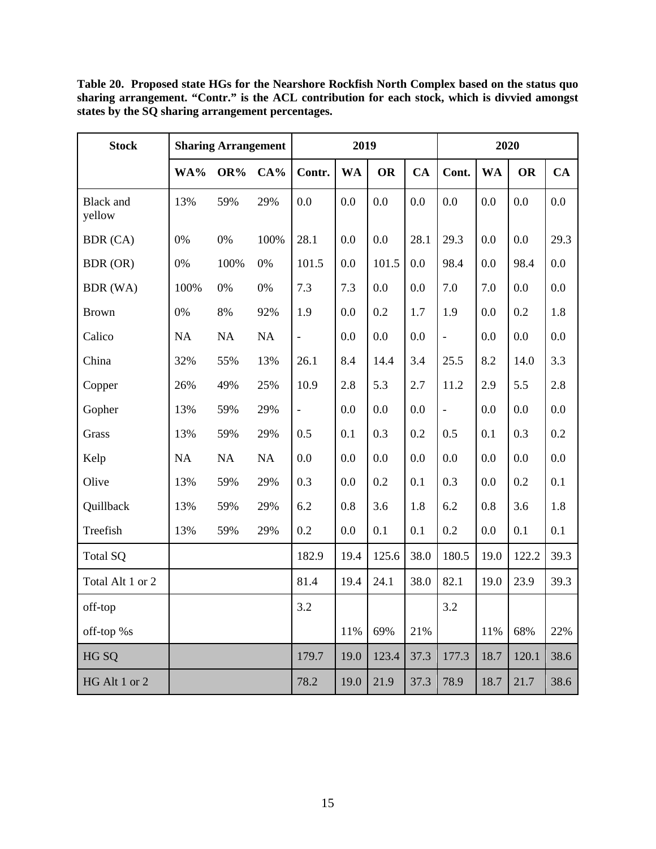<span id="page-14-0"></span>**Table 20. Proposed state HGs for the Nearshore Rockfish North Complex based on the status quo sharing arrangement. "Contr." is the ACL contribution for each stock, which is divvied amongst states by the SQ sharing arrangement percentages.** 

| <b>Stock</b>               | <b>Sharing Arrangement</b> |      |        | 2019           |           |           |           | 2020          |           |           |      |
|----------------------------|----------------------------|------|--------|----------------|-----------|-----------|-----------|---------------|-----------|-----------|------|
|                            | WA%                        | OR%  | $CA\%$ | Contr.         | <b>WA</b> | <b>OR</b> | <b>CA</b> | Cont.         | <b>WA</b> | <b>OR</b> | CA   |
| <b>Black</b> and<br>yellow | 13%                        | 59%  | 29%    | 0.0            | 0.0       | 0.0       | 0.0       | 0.0           | 0.0       | 0.0       | 0.0  |
| BDR (CA)                   | 0%                         | 0%   | 100%   | 28.1           | 0.0       | 0.0       | 28.1      | 29.3          | 0.0       | 0.0       | 29.3 |
| BDR (OR)                   | 0%                         | 100% | 0%     | 101.5          | 0.0       | 101.5     | 0.0       | 98.4          | 0.0       | 98.4      | 0.0  |
| BDR (WA)                   | 100%                       | 0%   | 0%     | 7.3            | 7.3       | 0.0       | 0.0       | 7.0           | 7.0       | 0.0       | 0.0  |
| <b>Brown</b>               | 0%                         | 8%   | 92%    | 1.9            | 0.0       | 0.2       | 1.7       | 1.9           | 0.0       | 0.2       | 1.8  |
| Calico                     | NA                         | NA   | NA     | $\blacksquare$ | 0.0       | 0.0       | 0.0       | $\frac{1}{2}$ | 0.0       | 0.0       | 0.0  |
| China                      | 32%                        | 55%  | 13%    | 26.1           | 8.4       | 14.4      | 3.4       | 25.5          | 8.2       | 14.0      | 3.3  |
| Copper                     | 26%                        | 49%  | 25%    | 10.9           | 2.8       | 5.3       | 2.7       | 11.2          | 2.9       | 5.5       | 2.8  |
| Gopher                     | 13%                        | 59%  | 29%    | $\blacksquare$ | 0.0       | 0.0       | 0.0       | $\frac{1}{2}$ | 0.0       | 0.0       | 0.0  |
| Grass                      | 13%                        | 59%  | 29%    | 0.5            | 0.1       | 0.3       | 0.2       | 0.5           | 0.1       | 0.3       | 0.2  |
| Kelp                       | NA                         | NA   | NA     | 0.0            | 0.0       | 0.0       | 0.0       | 0.0           | 0.0       | 0.0       | 0.0  |
| Olive                      | 13%                        | 59%  | 29%    | 0.3            | 0.0       | 0.2       | 0.1       | 0.3           | 0.0       | 0.2       | 0.1  |
| Quillback                  | 13%                        | 59%  | 29%    | 6.2            | 0.8       | 3.6       | 1.8       | 6.2           | 0.8       | 3.6       | 1.8  |
| Treefish                   | 13%                        | 59%  | 29%    | 0.2            | 0.0       | 0.1       | 0.1       | 0.2           | 0.0       | 0.1       | 0.1  |
| <b>Total SQ</b>            |                            |      |        | 182.9          | 19.4      | 125.6     | 38.0      | 180.5         | 19.0      | 122.2     | 39.3 |
| Total Alt 1 or 2           |                            |      |        | 81.4           | 19.4      | 24.1      | 38.0      | 82.1          | 19.0      | 23.9      | 39.3 |
| off-top                    |                            |      |        | 3.2            |           |           |           | 3.2           |           |           |      |
| off-top %s                 |                            |      |        |                | 11%       | 69%       | 21%       |               | 11%       | 68%       | 22%  |
| HG SQ                      |                            |      |        | 179.7          | 19.0      | 123.4     | 37.3      | 177.3         | 18.7      | 120.1     | 38.6 |
| HG Alt 1 or 2              |                            |      |        | 78.2           | 19.0      | 21.9      | 37.3      | 78.9          | 18.7      | 21.7      | 38.6 |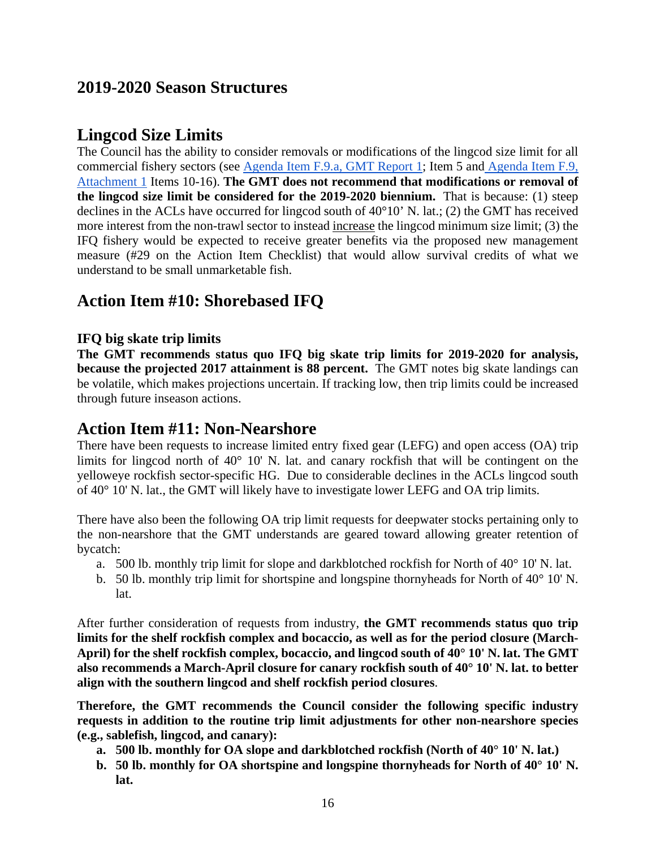## <span id="page-15-0"></span>**2019-2020 Season Structures**

## <span id="page-15-1"></span>**Lingcod Size Limits**

The Council has the ability to consider removals or modifications of the lingcod size limit for all commercial fishery sectors (see [Agenda Item F.9.a, GMT Report 1;](http://www.pcouncil.org/wp-content/uploads/2017/10/F9a_GMT_Rpt1_NOV2017BB.pdf) Item 5 and [Agenda Item F.9,](http://www.pcouncil.org/wp-content/uploads/2017/10/F9_Att1_Checklist_NOV2017BB.pdf)  [Attachment 1](http://www.pcouncil.org/wp-content/uploads/2017/10/F9_Att1_Checklist_NOV2017BB.pdf) Items 10-16). **The GMT does not recommend that modifications or removal of the lingcod size limit be considered for the 2019-2020 biennium.** That is because: (1) steep declines in the ACLs have occurred for lingcod south of 40°10' N. lat.; (2) the GMT has received more interest from the non-trawl sector to instead increase the lingcod minimum size limit; (3) the IFQ fishery would be expected to receive greater benefits via the proposed new management measure (#29 on the Action Item Checklist) that would allow survival credits of what we understand to be small unmarketable fish.

## <span id="page-15-2"></span>**Action Item #10: Shorebased IFQ**

### <span id="page-15-3"></span>**IFQ big skate trip limits**

**The GMT recommends status quo IFQ big skate trip limits for 2019-2020 for analysis, because the projected 2017 attainment is 88 percent.** The GMT notes big skate landings can be volatile, which makes projections uncertain. If tracking low, then trip limits could be increased through future inseason actions.

### <span id="page-15-4"></span>**Action Item #11: Non-Nearshore**

There have been requests to increase limited entry fixed gear (LEFG) and open access (OA) trip limits for lingcod north of 40° 10' N. lat. and canary rockfish that will be contingent on the yelloweye rockfish sector-specific HG. Due to considerable declines in the ACLs lingcod south of 40° 10' N. lat., the GMT will likely have to investigate lower LEFG and OA trip limits.

There have also been the following OA trip limit requests for deepwater stocks pertaining only to the non-nearshore that the GMT understands are geared toward allowing greater retention of bycatch:

- a. 500 lb. monthly trip limit for slope and darkblotched rockfish for North of  $40^{\circ}$  10' N. lat.
- b. 50 lb. monthly trip limit for shortspine and longspine thornyheads for North of 40° 10' N. lat.

After further consideration of requests from industry, **the GMT recommends status quo trip limits for the shelf rockfish complex and bocaccio, as well as for the period closure (March-April) for the shelf rockfish complex, bocaccio, and lingcod south of 40° 10' N. lat. The GMT also recommends a March-April closure for canary rockfish south of 40° 10' N. lat. to better align with the southern lingcod and shelf rockfish period closures**.

**Therefore, the GMT recommends the Council consider the following specific industry requests in addition to the routine trip limit adjustments for other non-nearshore species (e.g., sablefish, lingcod, and canary):**

- **a. 500 lb. monthly for OA slope and darkblotched rockfish (North of 40° 10' N. lat.)**
- **b. 50 lb. monthly for OA shortspine and longspine thornyheads for North of 40° 10' N. lat.**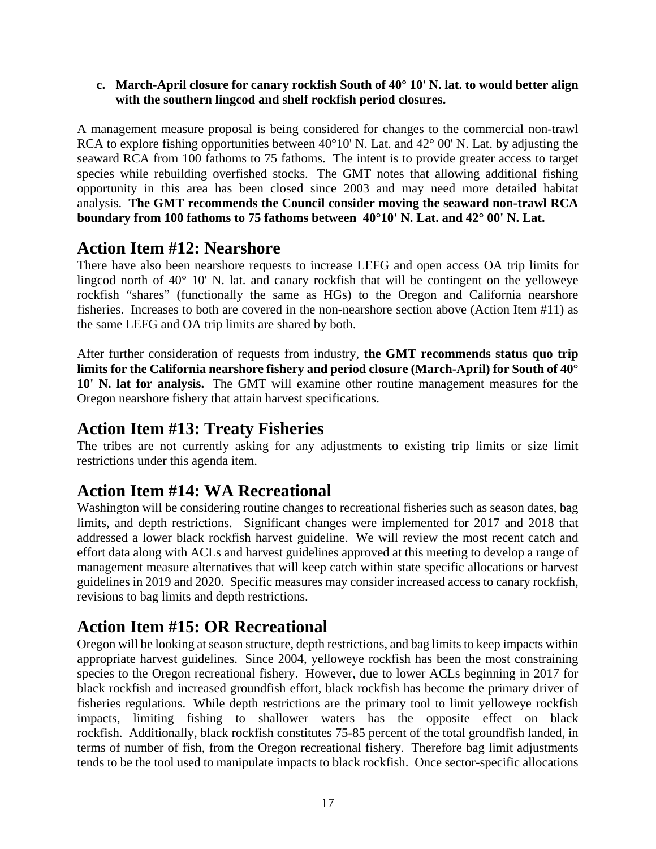**c. March-April closure for canary rockfish South of 40° 10' N. lat. to would better align with the southern lingcod and shelf rockfish period closures.** 

A management measure proposal is being considered for changes to the commercial non-trawl RCA to explore fishing opportunities between  $40^{\circ}10'$  N. Lat. and  $42^{\circ}$  00' N. Lat. by adjusting the seaward RCA from 100 fathoms to 75 fathoms. The intent is to provide greater access to target species while rebuilding overfished stocks. The GMT notes that allowing additional fishing opportunity in this area has been closed since 2003 and may need more detailed habitat analysis. **The GMT recommends the Council consider moving the seaward non-trawl RCA boundary from 100 fathoms to 75 fathoms between 40°10' N. Lat. and 42° 00' N. Lat.**

## <span id="page-16-0"></span>**Action Item #12: Nearshore**

There have also been nearshore requests to increase LEFG and open access OA trip limits for lingcod north of 40° 10' N. lat. and canary rockfish that will be contingent on the yelloweye rockfish "shares" (functionally the same as HGs) to the Oregon and California nearshore fisheries. Increases to both are covered in the non-nearshore section above (Action Item #11) as the same LEFG and OA trip limits are shared by both.

After further consideration of requests from industry, **the GMT recommends status quo trip limits for the California nearshore fishery and period closure (March-April) for South of 40° 10' N. lat for analysis.** The GMT will examine other routine management measures for the Oregon nearshore fishery that attain harvest specifications.

## <span id="page-16-1"></span>**Action Item #13: Treaty Fisheries**

The tribes are not currently asking for any adjustments to existing trip limits or size limit restrictions under this agenda item.

## <span id="page-16-2"></span>**Action Item #14: WA Recreational**

Washington will be considering routine changes to recreational fisheries such as season dates, bag limits, and depth restrictions. Significant changes were implemented for 2017 and 2018 that addressed a lower black rockfish harvest guideline. We will review the most recent catch and effort data along with ACLs and harvest guidelines approved at this meeting to develop a range of management measure alternatives that will keep catch within state specific allocations or harvest guidelines in 2019 and 2020. Specific measures may consider increased access to canary rockfish, revisions to bag limits and depth restrictions.

## <span id="page-16-3"></span>**Action Item #15: OR Recreational**

Oregon will be looking at season structure, depth restrictions, and bag limits to keep impacts within appropriate harvest guidelines. Since 2004, yelloweye rockfish has been the most constraining species to the Oregon recreational fishery. However, due to lower ACLs beginning in 2017 for black rockfish and increased groundfish effort, black rockfish has become the primary driver of fisheries regulations. While depth restrictions are the primary tool to limit yelloweye rockfish impacts, limiting fishing to shallower waters has the opposite effect on black rockfish. Additionally, black rockfish constitutes 75-85 percent of the total groundfish landed, in terms of number of fish, from the Oregon recreational fishery. Therefore bag limit adjustments tends to be the tool used to manipulate impacts to black rockfish. Once sector-specific allocations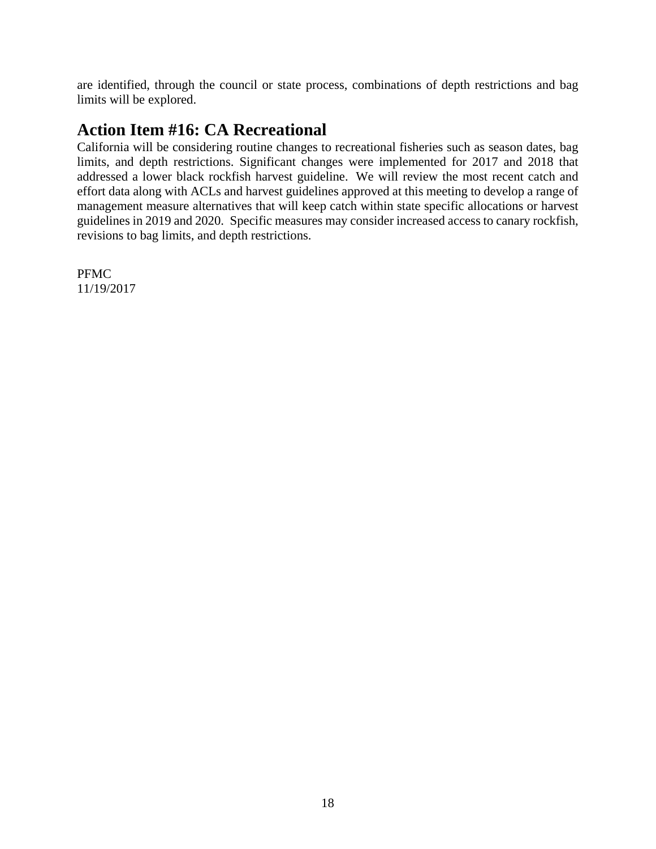are identified, through the council or state process, combinations of depth restrictions and bag limits will be explored.

## <span id="page-17-0"></span>**Action Item #16: CA Recreational**

California will be considering routine changes to recreational fisheries such as season dates, bag limits, and depth restrictions. Significant changes were implemented for 2017 and 2018 that addressed a lower black rockfish harvest guideline. We will review the most recent catch and effort data along with ACLs and harvest guidelines approved at this meeting to develop a range of management measure alternatives that will keep catch within state specific allocations or harvest guidelines in 2019 and 2020. Specific measures may consider increased access to canary rockfish, revisions to bag limits, and depth restrictions.

PFMC 11/19/2017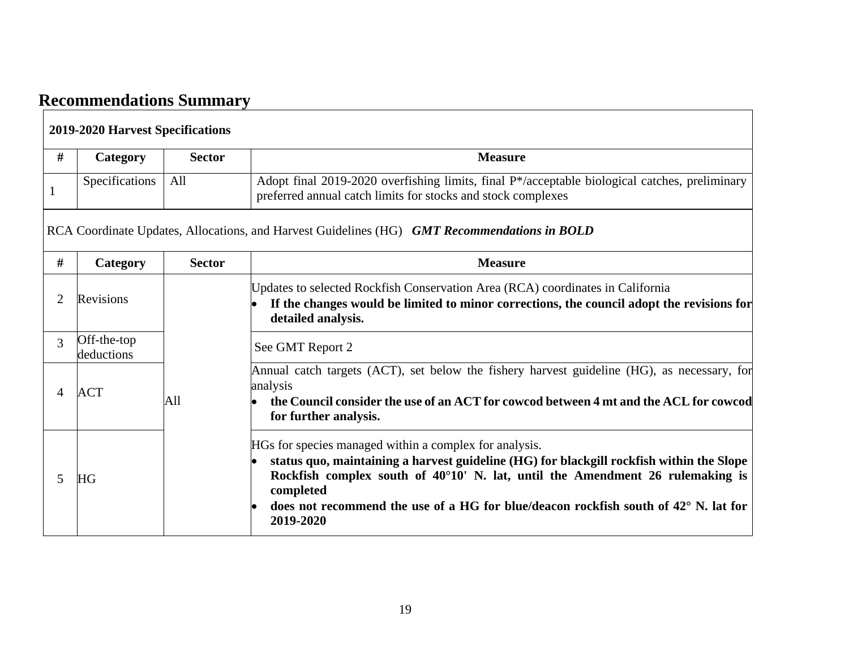# **Recommendations Summary**

<span id="page-18-0"></span>

| <b>2019-2020 Harvest Specifications</b> |                           |               |                                                                                                                                                                                                                                                                                                                                                                        |  |  |
|-----------------------------------------|---------------------------|---------------|------------------------------------------------------------------------------------------------------------------------------------------------------------------------------------------------------------------------------------------------------------------------------------------------------------------------------------------------------------------------|--|--|
| #                                       | Category                  | <b>Sector</b> | <b>Measure</b>                                                                                                                                                                                                                                                                                                                                                         |  |  |
| 1                                       | Specifications            | All           | Adopt final 2019-2020 overfishing limits, final P*/acceptable biological catches, preliminary<br>preferred annual catch limits for stocks and stock complexes                                                                                                                                                                                                          |  |  |
|                                         |                           |               | RCA Coordinate Updates, Allocations, and Harvest Guidelines (HG) GMT Recommendations in BOLD                                                                                                                                                                                                                                                                           |  |  |
| #                                       | Category                  | <b>Sector</b> | <b>Measure</b>                                                                                                                                                                                                                                                                                                                                                         |  |  |
| 2                                       | Revisions                 |               | Updates to selected Rockfish Conservation Area (RCA) coordinates in California<br>If the changes would be limited to minor corrections, the council adopt the revisions for<br>detailed analysis.                                                                                                                                                                      |  |  |
| 3                                       | Off-the-top<br>deductions |               | See GMT Report 2                                                                                                                                                                                                                                                                                                                                                       |  |  |
| 4                                       | ACT                       | All           | Annual catch targets (ACT), set below the fishery harvest guideline (HG), as necessary, for<br>analysis<br>the Council consider the use of an ACT for cowcod between 4 mt and the ACL for cowcod<br>$\bullet$<br>for further analysis.                                                                                                                                 |  |  |
| 5                                       | <b>HG</b>                 |               | HGs for species managed within a complex for analysis.<br>status quo, maintaining a harvest guideline (HG) for blackgill rockfish within the Slope<br>Rockfish complex south of $40^{\circ}10'$ N. lat, until the Amendment 26 rulemaking is<br>completed<br>does not recommend the use of a HG for blue/deacon rockfish south of $42^{\circ}$ N. lat for<br>2019-2020 |  |  |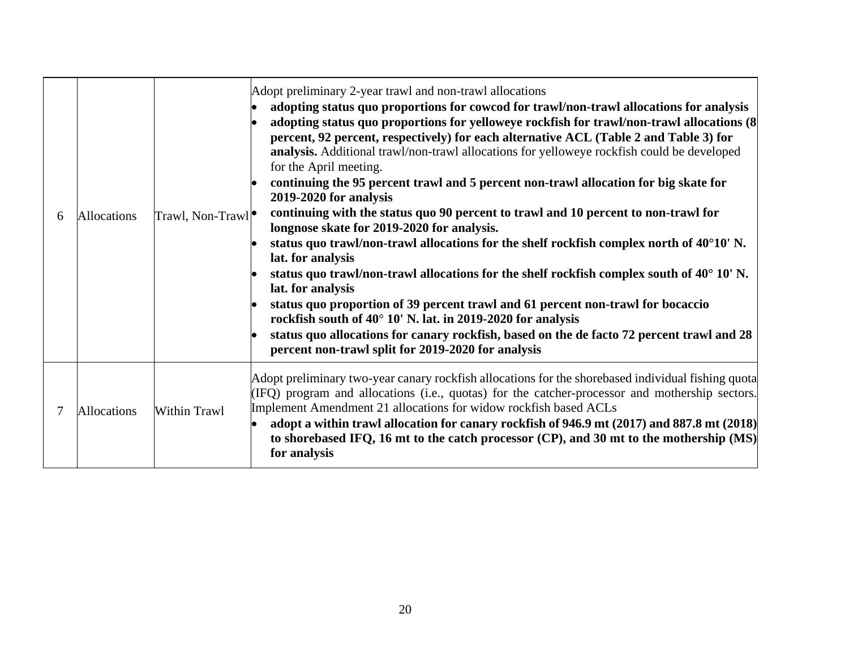| 6 | Allocations        | Trawl, Non-Trawl <sup>o</sup> | Adopt preliminary 2-year trawl and non-trawl allocations<br>adopting status quo proportions for cowcod for trawl/non-trawl allocations for analysis<br>adopting status quo proportions for yelloweye rockfish for trawl/non-trawl allocations (8)<br>percent, 92 percent, respectively) for each alternative ACL (Table 2 and Table 3) for<br>analysis. Additional trawl/non-trawl allocations for yelloweye rockfish could be developed<br>for the April meeting.<br>continuing the 95 percent trawl and 5 percent non-trawl allocation for big skate for<br>2019-2020 for analysis<br>continuing with the status quo 90 percent to trawl and 10 percent to non-trawl for<br>longnose skate for 2019-2020 for analysis.<br>status quo trawl/non-trawl allocations for the shelf rockfish complex north of $40^{\circ}10'$ N.<br>lat. for analysis<br>status quo trawl/non-trawl allocations for the shelf rockfish complex south of $40^{\circ}$ 10' N.<br>lat. for analysis<br>status quo proportion of 39 percent trawl and 61 percent non-trawl for bocaccio<br>rockfish south of 40° 10' N. lat. in 2019-2020 for analysis<br>status quo allocations for canary rockfish, based on the de facto 72 percent trawl and 28<br>percent non-trawl split for 2019-2020 for analysis |
|---|--------------------|-------------------------------|------------------------------------------------------------------------------------------------------------------------------------------------------------------------------------------------------------------------------------------------------------------------------------------------------------------------------------------------------------------------------------------------------------------------------------------------------------------------------------------------------------------------------------------------------------------------------------------------------------------------------------------------------------------------------------------------------------------------------------------------------------------------------------------------------------------------------------------------------------------------------------------------------------------------------------------------------------------------------------------------------------------------------------------------------------------------------------------------------------------------------------------------------------------------------------------------------------------------------------------------------------------------------------|
|   | <b>Allocations</b> | Within Trawl                  | Adopt preliminary two-year canary rockfish allocations for the shorebased individual fishing quota<br>(IFQ) program and allocations (i.e., quotas) for the catcher-processor and mothership sectors.<br>Implement Amendment 21 allocations for widow rockfish based ACLs<br>adopt a within trawl allocation for canary rockfish of 946.9 mt (2017) and 887.8 mt (2018)<br>to shorebased IFQ, 16 mt to the catch processor (CP), and 30 mt to the mothership (MS)<br>for analysis                                                                                                                                                                                                                                                                                                                                                                                                                                                                                                                                                                                                                                                                                                                                                                                                   |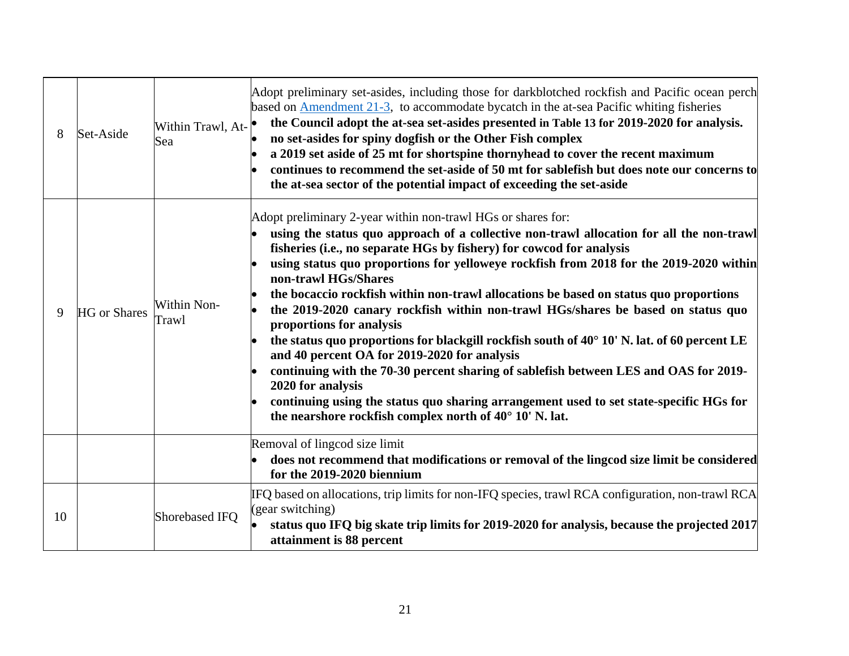| 8  | Set-Aside           | Within Trawl, At-<br>Sea | Adopt preliminary set-asides, including those for darkblotched rockfish and Pacific ocean perch<br>based on <b>Amendment 21-3</b> , to accommodate bycatch in the at-sea Pacific whiting fisheries<br>the Council adopt the at-sea set-asides presented in Table 13 for 2019-2020 for analysis.<br>no set-asides for spiny dogfish or the Other Fish complex<br>a 2019 set aside of 25 mt for shortspine thornyhead to cover the recent maximum<br>continues to recommend the set-aside of 50 mt for sablefish but does note our concerns to<br>the at-sea sector of the potential impact of exceeding the set-aside                                                                                                                                                                                                                                                                                                                                                         |
|----|---------------------|--------------------------|------------------------------------------------------------------------------------------------------------------------------------------------------------------------------------------------------------------------------------------------------------------------------------------------------------------------------------------------------------------------------------------------------------------------------------------------------------------------------------------------------------------------------------------------------------------------------------------------------------------------------------------------------------------------------------------------------------------------------------------------------------------------------------------------------------------------------------------------------------------------------------------------------------------------------------------------------------------------------|
| 9  | <b>HG</b> or Shares | Within Non-<br>Trawl     | Adopt preliminary 2-year within non-trawl HGs or shares for:<br>using the status quo approach of a collective non-trawl allocation for all the non-trawl<br>fisheries (i.e., no separate HGs by fishery) for cowcod for analysis<br>using status quo proportions for yelloweye rockfish from 2018 for the 2019-2020 within<br>non-trawl HGs/Shares<br>the bocaccio rockfish within non-trawl allocations be based on status quo proportions<br>the 2019-2020 canary rockfish within non-trawl HGs/shares be based on status quo<br>proportions for analysis<br>the status quo proportions for blackgill rockfish south of 40° 10' N. lat. of 60 percent LE<br>and 40 percent OA for 2019-2020 for analysis<br>continuing with the 70-30 percent sharing of sablefish between LES and OAS for 2019-<br>2020 for analysis<br>continuing using the status quo sharing arrangement used to set state-specific HGs for<br>the nearshore rockfish complex north of 40° 10' N. lat. |
|    |                     |                          | Removal of lingcod size limit<br>does not recommend that modifications or removal of the lingcod size limit be considered<br>for the 2019-2020 biennium                                                                                                                                                                                                                                                                                                                                                                                                                                                                                                                                                                                                                                                                                                                                                                                                                      |
| 10 |                     | Shorebased IFQ           | IFQ based on allocations, trip limits for non-IFQ species, trawl RCA configuration, non-trawl RCA<br>(gear switching)<br>status quo IFQ big skate trip limits for 2019-2020 for analysis, because the projected 2017<br>attainment is 88 percent                                                                                                                                                                                                                                                                                                                                                                                                                                                                                                                                                                                                                                                                                                                             |